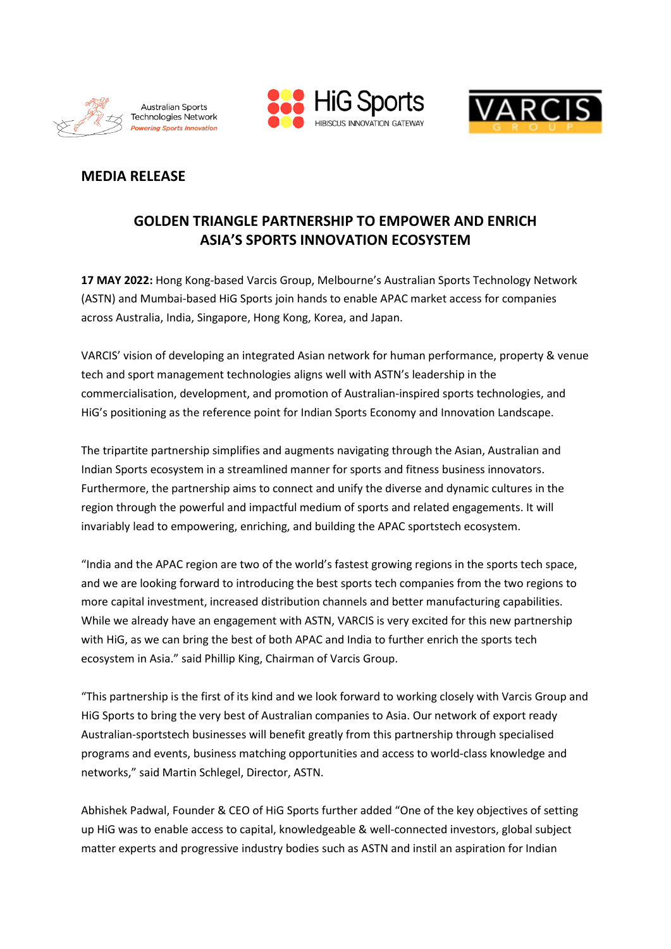





# **MEDIA RELEASE**

# **GOLDEN TRIANGLE PARTNERSHIP TO EMPOWER AND ENRICH ASIA'S SPORTS INNOVATION ECOSYSTEM**

**17 MAY 2022:** Hong Kong-based Varcis Group, Melbourne's Australian Sports Technology Network (ASTN) and Mumbai-based HiG Sports join hands to enable APAC market access for companies across Australia, India, Singapore, Hong Kong, Korea, and Japan.

VARCIS' vision of developing an integrated Asian network for human performance, property & venue tech and sport management technologies aligns well with ASTN's leadership in the commercialisation, development, and promotion of Australian-inspired sports technologies, and HiG's positioning as the reference point for Indian Sports Economy and Innovation Landscape.

The tripartite partnership simplifies and augments navigating through the Asian, Australian and Indian Sports ecosystem in a streamlined manner for sports and fitness business innovators. Furthermore, the partnership aims to connect and unify the diverse and dynamic cultures in the region through the powerful and impactful medium of sports and related engagements. It will invariably lead to empowering, enriching, and building the APAC sportstech ecosystem.

"India and the APAC region are two of the world's fastest growing regions in the sports tech space, and we are looking forward to introducing the best sports tech companies from the two regions to more capital investment, increased distribution channels and better manufacturing capabilities. While we already have an engagement with ASTN, VARCIS is very excited for this new partnership with HiG, as we can bring the best of both APAC and India to further enrich the sports tech ecosystem in Asia." said Phillip King, Chairman of Varcis Group.

"This partnership is the first of its kind and we look forward to working closely with Varcis Group and HiG Sports to bring the very best of Australian companies to Asia. Our network of export ready Australian-sportstech businesses will benefit greatly from this partnership through specialised programs and events, business matching opportunities and access to world-class knowledge and networks," said Martin Schlegel, Director, ASTN.

Abhishek Padwal, Founder & CEO of HiG Sports further added "One of the key objectives of setting up HiG was to enable access to capital, knowledgeable & well-connected investors, global subject matter experts and progressive industry bodies such as ASTN and instil an aspiration for Indian